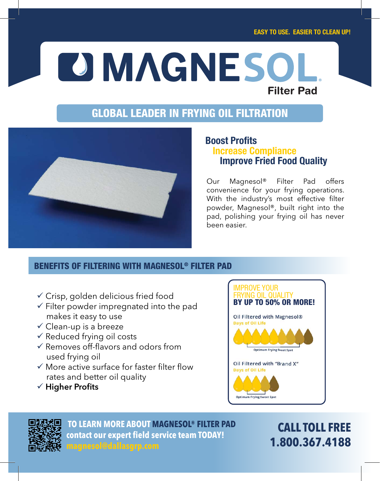# **DIMAGNESO Filter Pad**

# **GLOBAL LEADER IN FRYING OIL FILTRATION**



### **Boost Profits Increase Compliance Improve Fried Food Quality**

Our Magnesol® Filter Pad offers convenience for your frying operations. With the industry's most effective filter powder, Magnesol®, built right into the pad, polishing your frying oil has never been easier.

## **BENEFITS OF FILTERING WITH MAGNESOL® FILTER PAD**

- Crisp, golden delicious fried food
- $\checkmark$  Filter powder impregnated into the pad makes it easy to use
- $\checkmark$  Clean-up is a breeze
- $\checkmark$  Reduced frying oil costs
- $\checkmark$  Removes off-flavors and odors from used frying oil
- $\checkmark$  More active surface for faster filter flow rates and better oil quality
- $\checkmark$  Higher Profits





 **TO LEARN MORE ABOUT MAGNESOL® FILTER PAD contact our expert field service team TODAY!**

**CALL TOLL FREE 1.800.367.4188**